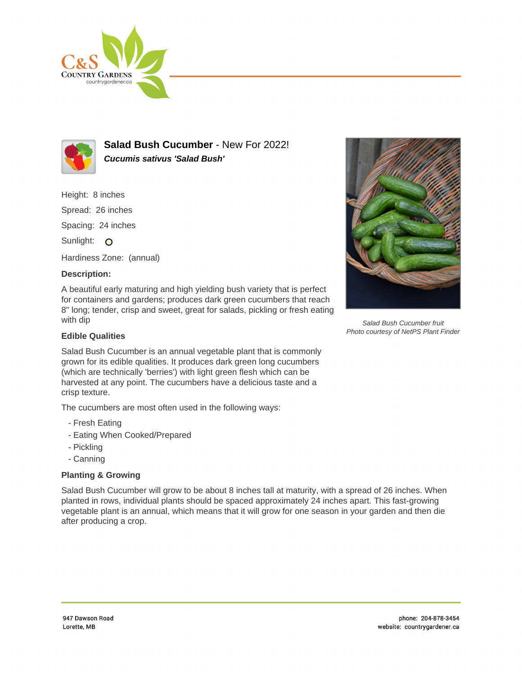



**Salad Bush Cucumber** - New For 2022! **Cucumis sativus 'Salad Bush'**

Height: 8 inches

Spread: 26 inches

Spacing: 24 inches

Sunlight: O

Hardiness Zone: (annual)

## **Description:**

A beautiful early maturing and high yielding bush variety that is perfect for containers and gardens; produces dark green cucumbers that reach 8" long; tender, crisp and sweet, great for salads, pickling or fresh eating with dip



Salad Bush Cucumber fruit Photo courtesy of NetPS Plant Finder

## **Edible Qualities**

Salad Bush Cucumber is an annual vegetable plant that is commonly grown for its edible qualities. It produces dark green long cucumbers (which are technically 'berries') with light green flesh which can be harvested at any point. The cucumbers have a delicious taste and a crisp texture.

The cucumbers are most often used in the following ways:

- Fresh Eating
- Eating When Cooked/Prepared
- Pickling
- Canning

## **Planting & Growing**

Salad Bush Cucumber will grow to be about 8 inches tall at maturity, with a spread of 26 inches. When planted in rows, individual plants should be spaced approximately 24 inches apart. This fast-growing vegetable plant is an annual, which means that it will grow for one season in your garden and then die after producing a crop.